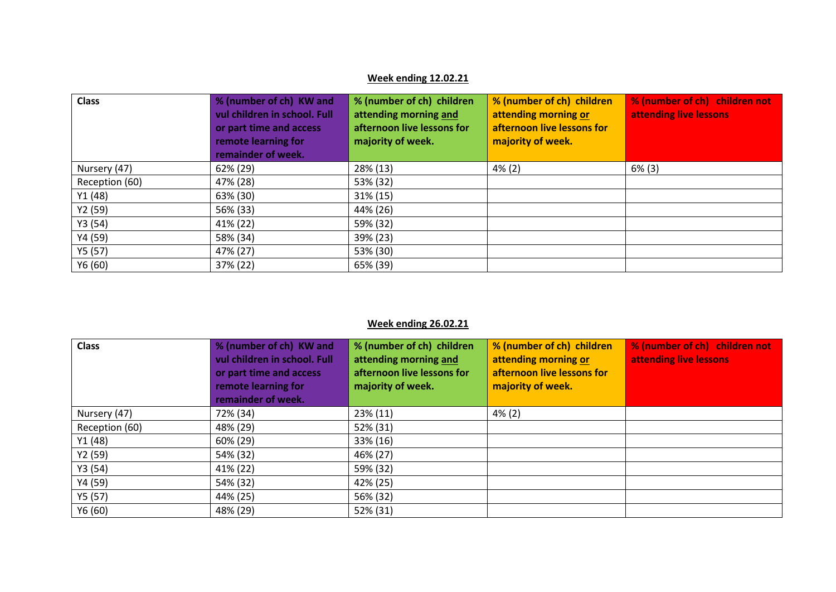## **Week ending 12.02.21**

| <b>Class</b>   | % (number of ch) KW and<br>vul children in school. Full<br>or part time and access<br>remote learning for<br>remainder of week. | % (number of ch) children<br>attending morning and<br>afternoon live lessons for<br>majority of week. | % (number of ch) children<br>attending morning or<br>afternoon live lessons for<br>majority of week. | % (number of ch) children not<br>attending live lessons |
|----------------|---------------------------------------------------------------------------------------------------------------------------------|-------------------------------------------------------------------------------------------------------|------------------------------------------------------------------------------------------------------|---------------------------------------------------------|
| Nursery (47)   | 62% (29)                                                                                                                        | 28% (13)                                                                                              | $4\%$ (2)                                                                                            | $6\%$ (3)                                               |
| Reception (60) | 47% (28)                                                                                                                        | 53% (32)                                                                                              |                                                                                                      |                                                         |
| Y1(48)         | 63% (30)                                                                                                                        | 31% (15)                                                                                              |                                                                                                      |                                                         |
| Y2 (59)        | 56% (33)                                                                                                                        | 44% (26)                                                                                              |                                                                                                      |                                                         |
| Y3(54)         | 41% (22)                                                                                                                        | 59% (32)                                                                                              |                                                                                                      |                                                         |
| Y4 (59)        | 58% (34)                                                                                                                        | 39% (23)                                                                                              |                                                                                                      |                                                         |
| Y5 (57)        | 47% (27)                                                                                                                        | 53% (30)                                                                                              |                                                                                                      |                                                         |
| Y6(60)         | 37% (22)                                                                                                                        | 65% (39)                                                                                              |                                                                                                      |                                                         |

## **Week ending 26.02.21**

| <b>Class</b>   | % (number of ch) KW and<br>vul children in school. Full<br>or part time and access<br>remote learning for<br>remainder of week. | % (number of ch) children<br>attending morning and<br>afternoon live lessons for<br>majority of week. | % (number of ch) children<br>attending morning or<br>afternoon live lessons for<br>majority of week. | % (number of ch) children not<br>attending live lessons |
|----------------|---------------------------------------------------------------------------------------------------------------------------------|-------------------------------------------------------------------------------------------------------|------------------------------------------------------------------------------------------------------|---------------------------------------------------------|
| Nursery (47)   | 72% (34)                                                                                                                        | 23% (11)                                                                                              | $4\%$ (2)                                                                                            |                                                         |
| Reception (60) | 48% (29)                                                                                                                        | 52% (31)                                                                                              |                                                                                                      |                                                         |
| Y1 (48)        | 60% (29)                                                                                                                        | 33% (16)                                                                                              |                                                                                                      |                                                         |
| Y2 (59)        | 54% (32)                                                                                                                        | 46% (27)                                                                                              |                                                                                                      |                                                         |
| Y3(54)         | 41% (22)                                                                                                                        | 59% (32)                                                                                              |                                                                                                      |                                                         |
| Y4 (59)        | 54% (32)                                                                                                                        | 42% (25)                                                                                              |                                                                                                      |                                                         |
| Y5(57)         | 44% (25)                                                                                                                        | 56% (32)                                                                                              |                                                                                                      |                                                         |
| Y6(60)         | 48% (29)                                                                                                                        | 52% (31)                                                                                              |                                                                                                      |                                                         |